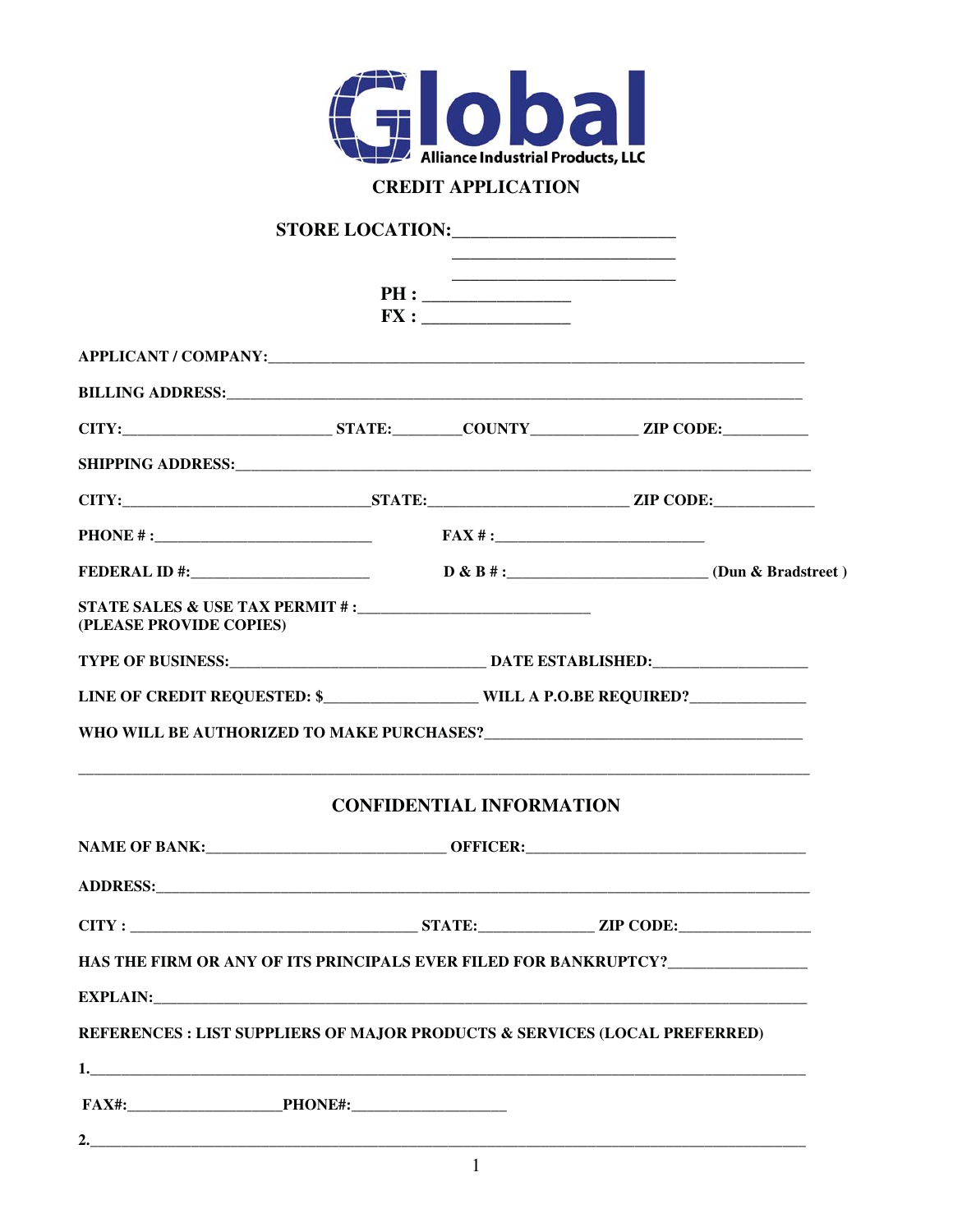

## **CREDIT APPLICATION**

|                                                                                                                                                                                                                                    | <u> 1989 - Johann John Stone, markin amerikan bisa di sebagai pertama dan pada sebagai pertama dan per</u><br>PH:<br>$\mathbf{FX:}\underline{\hspace{1cm}}$ |                                 |  |  |  |  |
|------------------------------------------------------------------------------------------------------------------------------------------------------------------------------------------------------------------------------------|-------------------------------------------------------------------------------------------------------------------------------------------------------------|---------------------------------|--|--|--|--|
|                                                                                                                                                                                                                                    |                                                                                                                                                             |                                 |  |  |  |  |
| <b>BILLING ADDRESS:</b> No. 1995. The Second Second Second Second Second Second Second Second Second Second Second Second Second Second Second Second Second Second Second Second Second Second Second Second Second Second Second |                                                                                                                                                             |                                 |  |  |  |  |
|                                                                                                                                                                                                                                    |                                                                                                                                                             |                                 |  |  |  |  |
|                                                                                                                                                                                                                                    |                                                                                                                                                             |                                 |  |  |  |  |
|                                                                                                                                                                                                                                    |                                                                                                                                                             |                                 |  |  |  |  |
|                                                                                                                                                                                                                                    |                                                                                                                                                             |                                 |  |  |  |  |
|                                                                                                                                                                                                                                    |                                                                                                                                                             |                                 |  |  |  |  |
| (PLEASE PROVIDE COPIES)                                                                                                                                                                                                            |                                                                                                                                                             |                                 |  |  |  |  |
|                                                                                                                                                                                                                                    |                                                                                                                                                             |                                 |  |  |  |  |
|                                                                                                                                                                                                                                    | LINE OF CREDIT REQUESTED: \$____________________WILL A P.O.BE REQUIRED?___________                                                                          |                                 |  |  |  |  |
|                                                                                                                                                                                                                                    |                                                                                                                                                             |                                 |  |  |  |  |
|                                                                                                                                                                                                                                    |                                                                                                                                                             | <b>CONFIDENTIAL INFORMATION</b> |  |  |  |  |
|                                                                                                                                                                                                                                    |                                                                                                                                                             |                                 |  |  |  |  |
|                                                                                                                                                                                                                                    |                                                                                                                                                             |                                 |  |  |  |  |
|                                                                                                                                                                                                                                    |                                                                                                                                                             |                                 |  |  |  |  |
| HAS THE FIRM OR ANY OF ITS PRINCIPALS EVER FILED FOR BANKRUPTCY?________________                                                                                                                                                   |                                                                                                                                                             |                                 |  |  |  |  |
|                                                                                                                                                                                                                                    |                                                                                                                                                             |                                 |  |  |  |  |
| REFERENCES : LIST SUPPLIERS OF MAJOR PRODUCTS & SERVICES (LOCAL PREFERRED)                                                                                                                                                         |                                                                                                                                                             |                                 |  |  |  |  |
|                                                                                                                                                                                                                                    |                                                                                                                                                             |                                 |  |  |  |  |
|                                                                                                                                                                                                                                    |                                                                                                                                                             |                                 |  |  |  |  |
|                                                                                                                                                                                                                                    |                                                                                                                                                             |                                 |  |  |  |  |